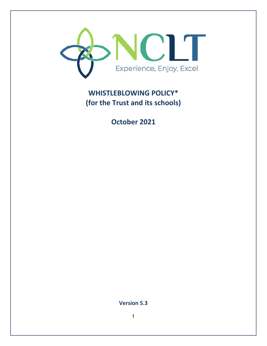

# **WHISTLEBLOWING POLICY\* (for the Trust and its schools)**

**October 2021** 

**Version 5.3**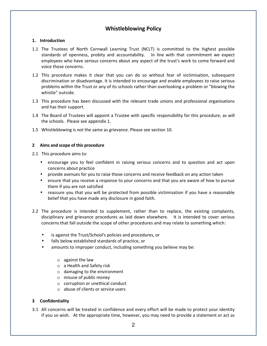### **Whistleblowing Policy**

#### **1. Introduction**

- 1.1 The Trustees of North Cornwall Learning Trust (NCLT) is committed to the highest possible standards of openness, probity and accountability. In line with that commitment we expect employees who have serious concerns about any aspect of the trust's work to come forward and voice those concerns.
- 1.2 This procedure makes it clear that you can do so without fear of victimisation, subsequent discrimination or disadvantage. It is intended to encourage and enable employees to raise serious problems within the Trust or any of its schools rather than overlooking a problem or "blowing the whistle" outside.
- 1.3 This procedure has been discussed with the relevant trade unions and professional organisations and has their support.
- 1.4 The Board of Trustees will appoint a Trustee with specific responsibility for this procedure, as will the schools. Please see appendix 1.
- 1.5 Whistleblowing is not the same as grievance. Please see section 10.

#### **2 Aims and scope of this procedure**

2.1 This procedure aims to:

- encourage you to feel confident in raising serious concerns and to question and act upon concerns about practice
- provide avenues for you to raise those concerns and receive feedback on any action taken
- ensure that you receive a response to your concerns and that you are aware of how to pursue them if you are not satisfied
- reassure you that you will be protected from possible victimisation if you have a reasonable belief that you have made any disclosure in good faith.
- 2.2 The procedure is intended to supplement, rather than to replace, the existing complaints, disciplinary and grievance procedures as laid down elsewhere. It is intended to cover serious concerns that fall outside the scope of other procedures and may relate to something which:
	- is against the Trust/School's policies and procedures, or
	- falls below established standards of practice, or
	- amounts to improper conduct, including something you believe may be:
		- o against the law
		- o a Health and Safety risk
		- o damaging to the environment
		- o misuse of public money
		- o corruption or unethical conduct
		- o abuse of clients or service users

#### **3 Confidentiality**

3.1 All concerns will be treated in confidence and every effort will be made to protect your identity if you so wish. At the appropriate time, however, you may need to provide a statement or act as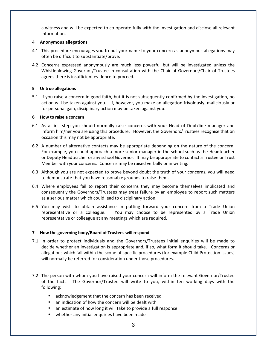a witness and will be expected to co-operate fully with the investigation and disclose all relevant information.

#### 4 **Anonymous allegations**

- 4.1 This procedure encourages you to put your name to your concern as anonymous allegations may often be difficult to substantiate/prove.
- 4.2 Concerns expressed anonymously are much less powerful but will be investigated unless the Whistleblowing Governor/Trustee in consultation with the Chair of Governors/Chair of Trustees agrees there is insufficient evidence to proceed.

#### **5 Untrue allegations**

5.1 If you raise a concern in good faith, but it is not subsequently confirmed by the investigation, no action will be taken against you. If, however, you make an allegation frivolously, maliciously or for personal gain, disciplinary action may be taken against you.

#### **6 How to raise a concern**

- 6.1 As a first step you should normally raise concerns with your Head of Dept/line manager and inform him/her you are using this procedure. However, the Governors/Trustees recognise that on occasion this may not be appropriate.
- 6.2 A number of alternative contacts may be appropriate depending on the nature of the concern. For example, you could approach a more senior manager in the school such as the Headteacher or Deputy Headteacher or any school Governor. It may be appropriate to contact a Trustee or Trust Member with your concerns. Concerns may be raised verbally or in writing.
- 6.3 Although you are not expected to prove beyond doubt the truth of your concerns, you will need to demonstrate that you have reasonable grounds to raise them.
- 6.4 Where employees fail to report their concerns they may become themselves implicated and consequently the Governors/Trustees may treat failure by an employee to report such matters as a serious matter which could lead to disciplinary action.
- 6.5 You may wish to obtain assistance in putting forward your concern from a Trade Union representative or a colleague. You may choose to be represented by a Trade Union representative or colleague at any meetings which are required.

#### **7 How the governing body/Board of Trustees will respond**

- 7.1 In order to protect individuals and the Governors/Trustees initial enquiries will be made to decide whether an investigation is appropriate and, if so, what form it should take. Concerns or allegations which fall within the scope of specific procedures (for example Child Protection issues) will normally be referred for consideration under those procedures.
- 7.2 The person with whom you have raised your concern will inform the relevant Governor/Trustee of the facts. The Governor/Trustee will write to you, within ten working days with the following:
	- acknowledgement that the concern has been received
	- an indication of how the concern will be dealt with
	- an estimate of how long it will take to provide a full response
	- whether any initial enquiries have been made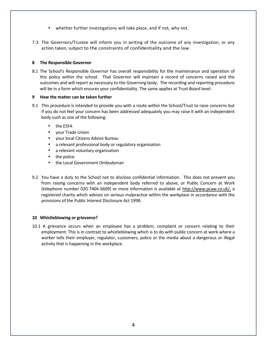- whether further investigations will take place, and if not, why not.
- 7.3 The Governors/Trustee will inform you in writing of the outcome of any investigation, or any action taken, subject to the constraints of confidentiality and the law.

#### **8 The Responsible Governor**

8.1 The School's Responsible Governor has overall responsibility for the maintenance and operation of this policy within the school. That Governor will maintain a record of concerns raised and the outcomes and will report as necessary to the Governing body. The recording and reporting procedure will be in a form which ensures your confidentiality. The same applies at Trust Board level.

#### **9 How the matter can be taken further**

- 9.1 This procedure is intended to provide you with a route within the School/Trust to raise concerns but if you do not feel your concern has been addressed adequately you may raise it with an independent body such as one of the following:
	- the ESFA
	- your Trade Union
	- your local Citizens Advice Bureau
	- a relevant professional body or regulatory organisation
	- a relevant voluntary organisation
	- the police
	- the Local Government Ombudsman
- 9.2 You have a duty to the School not to disclose confidential information. This does not prevent you from raising concerns with an independent body referred to above, or Public Concern at Work (telephone number 020 7404 6609) or more information is available at http://www.pcaw.co.uk/, a registered charity which advises on serious malpractice within the workplace in accordance with the provisions of the Public Interest Disclosure Act 1998.

#### **10 Whistleblowing or grievance?**

10.1 A grievance occurs when an employee has a problem, complaint or concern relating to their employment. This is in contrast to whistleblowing which is to do with public concern at work where a worker tells their employer, regulator, customers, police or the media about a dangerous or illegal activity that is happening in the workplace.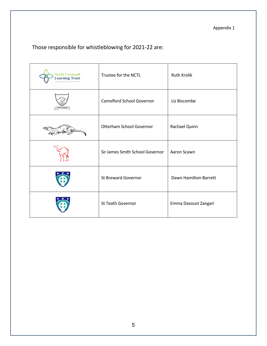Appendix 1

## Those responsible for whistleblowing for 2021-22 are:

| <b>North Cornwall</b><br><b>Learning Trust</b><br>Working Together for Local Children | Trustee for the NCTL            | <b>Ruth Krolik</b>    |
|---------------------------------------------------------------------------------------|---------------------------------|-----------------------|
| CAMELFORD                                                                             | Camelford School Governor       | Liz Biscombe          |
|                                                                                       | Otterham School Governor        | Rachael Quinn         |
|                                                                                       | Sir James Smith School Governor | Aaron Scawn           |
|                                                                                       | <b>St Breward Governor</b>      | Dawn Hamilton-Barrett |
|                                                                                       | St Teath Governor               | Emma Davoust Zangari  |